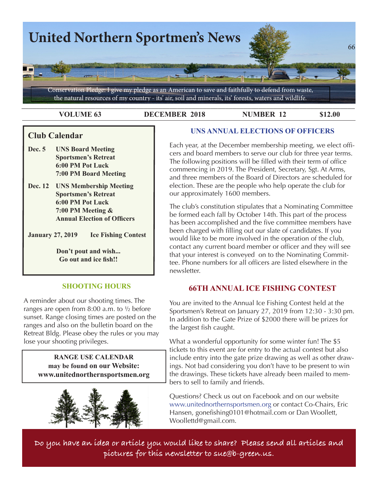

**VOLUME 63 DECEMBER 2018 NUMBER 12 \$12.00**

### **Club Calendar**

- **Dec. 5 UNS Board Meeting Sportsmen's Retreat 6:00 PM Pot Luck 7:00 PM Board Meeting**
- **Dec. 12 UNS Membership Meeting Sportsmen's Retreat 6:00 PM Pot Luck 7:00 PM Meeting & Annual Election of Officers**

**January 27, 2019 Ice Fishing Contest**

**Don't pout and wish... Go out and ice fish!!**

#### **SHOOTING HOURS**

A reminder about our shooting times. The ranges are open from 8:00 a.m. to ½ before sunset. Range closing times are posted on the ranges and also on the bulletin board on the Retreat Bldg. Please obey the rules or you may lose your shooting privileges.

> **RANGE USE CALENDAR may be found on our Website: [www.unitednorthernsportsmen.org](http://www.unitednorthernsportsmen.org)**



#### **UNS ANNUAL ELECTIONS OF OFFICERS**

Each year, at the December membership meeting, we elect officers and board members to serve our club for three year terms. The following positions will be filled with their term of office commencing in 2019. The President, Secretary, Sgt. At Arms, and three members of the Board of Directors are scheduled for election. These are the people who help operate the club for our approximately 1600 members.

The club's constitution stipulates that a Nominating Committee be formed each fall by October 14th. This part of the process has been accomplished and the five committee members have been charged with filling out our slate of candidates. If you would like to be more involved in the operation of the club, contact any current board member or officer and they will see that your interest is conveyed on to the Nominating Committee. Phone numbers for all officers are listed elsewhere in the newsletter.

### **66TH ANNUAL ICE FISHING CONTEST**

You are invited to the Annual Ice Fishing Contest held at the Sportsmen's Retreat on January 27, 2019 from 12:30 - 3:30 pm. In addition to the Gate Prize of \$2000 there will be prizes for the largest fish caught.

What a wonderful opportunity for some winter fun! The \$5 tickets to this event are for entry to the actual contest but also include entry into the gate prize drawing as well as other drawings. Not bad considering you don't have to be present to win the drawings. These tickets have already been mailed to mem- $\longrightarrow$  bers to sell to family and friends.

Questions? Check us out on Facebook and on our website [www.unitednorthernsportsmen.org](http://www.unitednorthernsportsmen.org) or contact Co-Chairs, Eric Hansen, gonefishing0101@hotmail.com or Dan Woollett, Woollettd@gmail.com.

**Do you have an idea or article you would like to share? Please send all articles and pictures for this newsletter to sue@b-green.us.**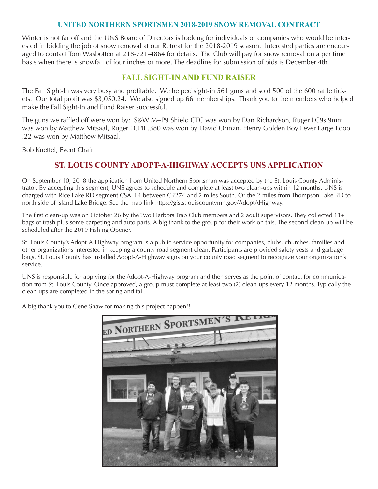#### **UNITED NORTHERN SPORTSMEN 2018-2019 SNOW REMOVAL CONTRACT**

Winter is not far off and the UNS Board of Directors is looking for individuals or companies who would be interested in bidding the job of snow removal at our Retreat for the 2018-2019 season. Interested parties are encouraged to contact Tom Wasbotten at 218-721-4864 for details. The Club will pay for snow removal on a per time basis when there is snowfall of four inches or more. The deadline for submission of bids is December 4th.

#### **FALL SIGHT-IN AND FUND RAISER**

The Fall Sight-In was very busy and profitable. We helped sight-in 561 guns and sold 500 of the 600 raffle tickets. Our total profit was \$3,050.24. We also signed up 66 memberships. Thank you to the members who helped make the Fall Sight-In and Fund Raiser successful.

The guns we raffled off were won by: S&W M+P9 Shield CTC was won by Dan Richardson, Ruger LC9s 9mm was won by Matthew Mitsaal, Ruger LCPII .380 was won by David Orinzn, Henry Golden Boy Lever Large Loop .22 was won by Matthew Mitsaal.

Bob Kuettel, Event Chair

#### **ST. LOUIS COUNTY ADOPT-A-HIGHWAY ACCEPTS UNS APPLICATION**

On September 10, 2018 the application from United Northern Sportsman was accepted by the St. Louis County Administrator. By accepting this segment, UNS agrees to schedule and complete at least two clean-ups within 12 months. UNS is charged with Rice Lake RD segment CSAH 4 between CR274 and 2 miles South. Or the 2 miles from Thompson north side of Island Lake Bridge. See the map link https://gis.stlouiscountymn.gov/AdoptAHighway.

The first clean-up was on October 26 by the Two Harbors Trap Club members and 2 adult supervisors. They col bags of trash plus some carpeting and auto parts. A big thank to the group for their work on this. The second cle scheduled after the 2019 Fishing Opener.

St. Louis County's Adopt-A-Highway program is a public service opportunity for companies, clubs, churches, family other organizations interested in keeping a county road segment clean. Participants are provided safety vests an bags. St. Louis County has installed Adopt-A-Highway signs on your county road segment to recognize your org service.

UNS is responsible for applying for the Adopt-A-Highway program and then serves as the point of contact for  $\alpha$ tion from St. Louis County. Once approved, a group must complete at least two (2) clean-ups every 12 months. clean-ups are completed in the spring and fall.

A big thank you to Gene Shaw for making this project happen!!





 $640 \times 300$  - Images may be subje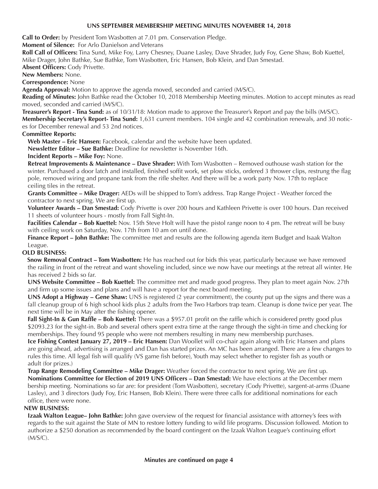#### **UNS SEPTEMBER MEMBERSHIP MEETING MINUTES NOVEMBER 14, 2018**

**Call to Order:** by President Tom Wasbotten at 7.01 pm. Conservation Pledge.

**Moment of Silence:** For Arlo Danielson and Veterans

**Roll Call of Officers:** Tina Sund, Mike Foy, Larry Chesney, Duane Lasley, Dave Shrader, Judy Foy, Gene Shaw, Bob Kuettel, Mike Drager, John Bathke, Sue Bathke, Tom Wasbotten, Eric Hansen, Bob Klein, and Dan Smestad.

**Absent Officers:** Cody Privette.

**New Members:** None.

**Correspondence:** None

**Agenda Approval:** Motion to approve the agenda moved, seconded and carried (M/S/C).

**Reading of Minutes:** John Bathke read the October 10, 2018 Membership Meeting minutes. Motion to accept minutes as read moved, seconded and carried (M/S/C).

**Treasurer's Report - Tina Sund:** as of 10/31/18: Motion made to approve the Treasurer's Report and pay the bills (M/S/C). **Membership Secretary's Report- Tina Sund:** 1,631 current members. 104 single and 42 combination renewals, and 30 notices for December renewal and 53 2nd notices.

#### **Committee Reports:**

**Web Master – Eric Hansen:** Facebook, calendar and the website have been updated.

**Newsletter Editor – Sue Bathke:** Deadline for newsletter is November 16th.

**Incident Reports – Mike Foy:** None.

**Retreat Improvements & Maintenance – Dave Shrader:** With Tom Wasbotten – Removed outhouse wash station for the winter. Purchased a door latch and installed, finished soffit work, set plow sticks, ordered 3 thrower clips, restrung the flag pole, removed wiring and propane tank from the rifle shelter. And there will be a work party Nov. 17th to replace ceiling tiles in the retreat.

**Grants Committee – Mike Drager:** AEDs will be shipped to Tom's address. Trap Range Project - Weather forced the contractor to next spring. We are first up.

**Volunteer Awards – Dan Smestad:** Cody Privette is over 200 hours and Kathleen Privette is over 100 hours. Dan received 11 sheets of volunteer hours - mostly from Fall Sight-In.

**Facilities Calendar – Bob Kuettel:** Nov. 15th Steve Holt will have the pistol range noon to 4 pm. The retreat will be busy with ceiling work on Saturday, Nov. 17th from 10 am on until done.

**Finance Report – John Bathke:** The committee met and results are the following agenda item Budget and Isaak Walton League.

#### **OLD BUSINESS:**

 **Snow Removal Contract – Tom Wasbotten:** He has reached out for bids this year, particularly because we have removed the railing in front of the retreat and want shoveling included, since we now have our meetings at the retreat all winter. He has received 2 bids so far.

**UNS Website Committee – Bob Kuettel:** The committee met and made good progress. They plan to meet again Nov. 27th and firm up some issues and plans and will have a report for the next board meeting.

**UNS Adopt a Highway – Gene Shaw:** UNS is registered (2 year commitment), the county put up the signs and there was a fall cleanup group of 6 high school kids plus 2 adults from the Two Harbors trap team. Cleanup is done twice per year. The next time will be in May after the fishing opener.

**Fall Sight-In & Gun Raffle – Bob Kuettel:** There was a \$957.01 profit on the raffle which is considered pretty good plus \$2093.23 for the sight-in. Bob and several others spent extra time at the range through the sight-in time and checking for memberships. They found 95 people who were not members resulting in many new membership purchases.

**Ice Fishing Contest January 27, 2019 – Eric Hansen:** Dan Woollet will co-chair again along with Eric Hansen and plans are going ahead, advertising is arranged and Dan has started prizes. An MC has been arranged. There are a few changes to rules this time. All legal fish will qualify (VS game fish before), Youth may select whether to register fish as youth or adult (for prizes.)

**Trap Range Remodeling Committee – Mike Drager:** Weather forced the contractor to next spring. We are first up. **Nominations Committee for Election of 2019 UNS Officers – Dan Smestad:** We have elections at the December mem bership meeting. Nominations so far are: for president (Tom Wasbotten), secretary (Cody Privette), sargent-at-arms (Duane Lasley), and 3 directors (Judy Foy, Eric Hansen, Bob Klein). There were three calls for additional nominations for each office, there were none.

#### **NEW BUSINESS:**

**Izaak Walton League– John Bathke:** John gave overview of the request for financial assistance with attorney's fees with regards to the suit against the State of MN to restore lottery funding to wild life programs. Discussion followed. Motion to authorize a \$250 donation as recommended by the board contingent on the Izaak Walton League's continuing effort (M/S/C).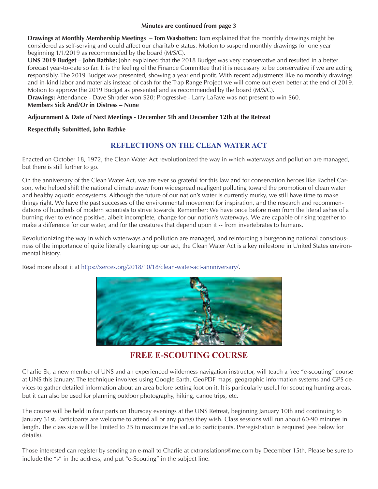#### **Minutes are continued from page 3**

**Drawings at Monthly Membership Meetings – Tom Wasbotten:** Tom explained that the monthly drawings might be considered as self-serving and could affect our charitable status. Motion to suspend monthly drawings for one year beginning 1/1/2019 as recommended by the board (M/S/C).

**UNS 2019 Budget – John Bathke:** John explained that the 2018 Budget was very conservative and resulted in a better forecast year-to-date so far. It is the feeling of the Finance Committee that it is necessary to be conservative if we are acting responsibly. The 2019 Budget was presented, showing a year end profit. With recent adjustments like no monthly drawings and in-kind labor and materials instead of cash for the Trap Range Project we will come out even better at the end of 2019. Motion to approve the 2019 Budget as presented and as recommended by the board (M/S/C).

**Drawings:** Attendance - Dave Shrader won \$20; Progressive - Larry LaFave was not present to win \$60. **Members Sick And/Or in Distress – None**

#### **Adjournment & Date of Next Meetings - December 5th and December 12th at the Retreat**

#### **Respectfully Submitted, John Bathke**

#### **REFLECTIONS ON THE CLEAN WATER ACT**

Enacted on October 18, 1972, the Clean Water Act revolutionized the way in which waterways and pollution are managed, but there is still further to go.

On the anniversary of the Clean Water Act, we are ever so grateful for this law and for conservation heroes like Rachel Carson, who helped shift the national climate away from widespread negligent polluting toward the promotion of clean water and healthy aquatic ecosystems. Although the future of our nation's water is currently murky, we still have time to make things right. We have the past successes of the environmental movement for inspiration, and the research and recommendations of hundreds of modern scientists to strive towards. Remember: We have once before risen from the literal ashes of a burning river to evince positive, albeit incomplete, change for our nation's waterways. We are capable of rising together to make a difference for our water, and for the creatures that depend upon it -- from invertebrates to humans.

Revolutionizing the way in which waterways and pollution are managed, and reinforcing a burgeoning national consciousness of the importance of quite literally cleaning up our act, the Clean Water Act is a key milestone in United States environmental history.

Read more about it at <https://xerces.org/2018/10/18/clean-water-act-annniversary/>.



#### **FREE E-SCOUTING COURSE**

Charlie Ek, a new member of UNS and an experienced wilderness navigation instructor, will teach a free "e-scouting" course at UNS this January. The technique involves using Google Earth, GeoPDF maps, geographic information systems and GPS devices to gather detailed information about an area before setting foot on it. It is particularly useful for scouting hunting areas, but it can also be used for planning outdoor photography, hiking, canoe trips, etc.

The course will be held in four parts on Thursday evenings at the UNS Retreat, beginning January 10th and continuing to January 31st. Participants are welcome to attend all or any part(s) they wish. Class sessions will run about 60-90 minutes in length. The class size will be limited to 25 to maximize the value to participants. Preregistration is required (see below for details).

Those interested can register by sending an e-mail to Charlie at cxtranslations@me.com by December 15th. Please be sure to include the "s" in the address, and put "e-Scouting" in the subject line.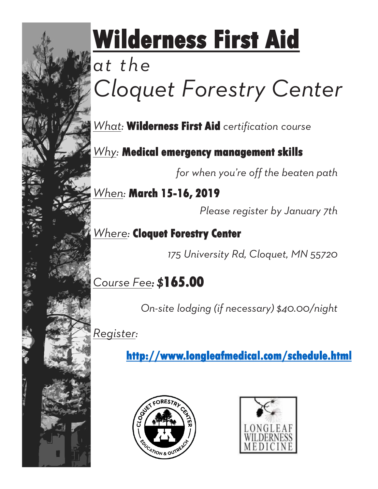

# **Wilderness First Aid**

## *at the Cloquet Forestry Center*

*What:* **Wilderness First Aid** *certification course*

*Why:* **Medical emergency management skills**

*for when you're off the beaten path*

*When:* **March 15-16, 2019**

*Please register by January 7th*

*Where:* **Cloquet Forestry Center**

*175 University Rd, Cloquet, MN 55720*

*Course Fee: \$***165.00**

*On-site lodging (if necessary) \$40.00/night*

*Register:* 

**http://www.longleafmedical.com/schedule.html**